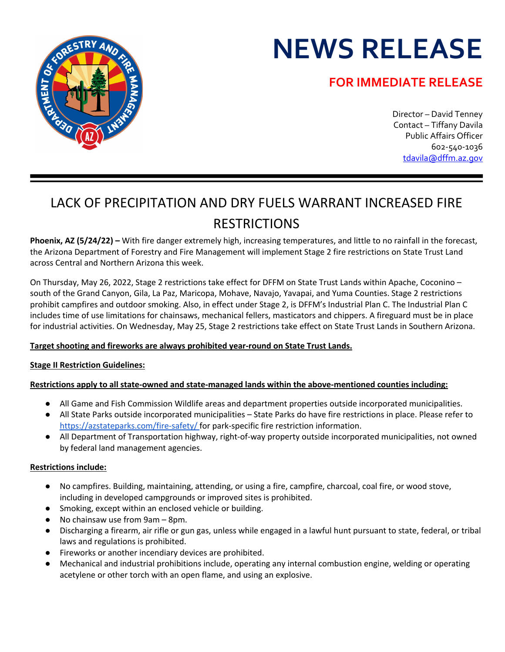# **NEWS RELEASE**

### **FOR IMMEDIATE RELEASE**



## LACK OF PRECIPITATION AND DRY FUELS WARRANT INCREASED FIRE RESTRICTIONS

**Phoenix, AZ (5/24/22) –** With fire danger extremely high, increasing temperatures, and little to no rainfall in the forecast, the Arizona Department of Forestry and Fire Management will implement Stage 2 fire restrictions on State Trust Land across Central and Northern Arizona this week.

On Thursday, May 26, 2022, Stage 2 restrictions take effect for DFFM on State Trust Lands within Apache, Coconino – south of the Grand Canyon, Gila, La Paz, Maricopa, Mohave, Navajo, Yavapai, and Yuma Counties. Stage 2 restrictions prohibit campfires and outdoor smoking. Also, in effect under Stage 2, is DFFM's Industrial Plan C. The Industrial Plan C includes time of use limitations for chainsaws, mechanical fellers, masticators and chippers. A fireguard must be in place for industrial activities. On Wednesday, May 25, Stage 2 restrictions take effect on State Trust Lands in Southern Arizona.

#### **Target shooting and fireworks are always prohibited year-round on State Trust Lands.**

#### **Stage II Restriction Guidelines:**

#### **Restrictions apply to all state-owned and state-managed lands within the above-mentioned counties including:**

- All Game and Fish Commission Wildlife areas and department properties outside incorporated municipalities.
- All State Parks outside incorporated municipalities State Parks do have fire restrictions in place. Please refer to https://azstateparks.com/fire-safety/ for park-specific fire restriction information.
- All Department of Transportation highway, right-of-way property outside incorporated municipalities, not owned by federal land management agencies.

#### **Restrictions include:**

- No campfires. Building, maintaining, attending, or using a fire, campfire, charcoal, coal fire, or wood stove, including in developed campgrounds or improved sites is prohibited.
- Smoking, except within an enclosed vehicle or building.
- No chainsaw use from 9am 8pm.
- Discharging a firearm, air rifle or gun gas, unless while engaged in a lawful hunt pursuant to state, federal, or tribal laws and regulations is prohibited.
- Fireworks or another incendiary devices are prohibited.
- Mechanical and industrial prohibitions include, operating any internal combustion engine, welding or operating acetylene or other torch with an open flame, and using an explosive.